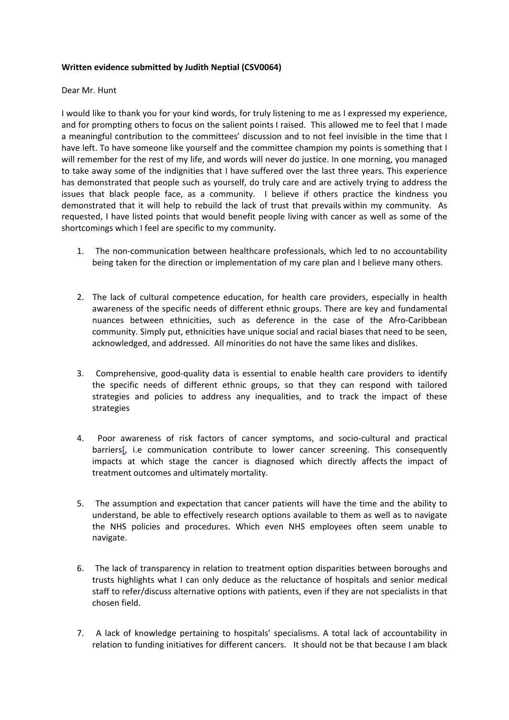## **Written evidence submitted by Judith Neptial (CSV0064)**

## Dear Mr. Hunt

I would like to thank you for your kind words, for truly listening to me as I expressed my experience, and for prompting others to focus on the salient points I raised. This allowed me to feel that I made a meaningful contribution to the committees' discussion and to not feel invisible in the time that I have left. To have someone like yourself and the committee champion my points is something that I will remember for the rest of my life, and words will never do justice. In one morning, you managed to take away some of the indignities that I have suffered over the last three years. This experience has demonstrated that people such as yourself, do truly care and are actively trying to address the issues that black people face, as a community. I believe if others practice the kindness you demonstrated that it will help to rebuild the lack of trust that prevails within my community. As requested, I have listed points that would benefit people living with cancer as well as some of the shortcomings which I feel are specific to my community.

- 1. The non-communication between healthcare professionals, which led to no accountability being taken for the direction or implementation of my care plan and I believe many others.
- 2. The lack of cultural competence education, for health care providers, especially in health awareness of the specific needs of different ethnic groups. There are key and fundamental nuances between ethnicities, such as deference in the case of the Afro-Caribbean community. Simply put, ethnicities have unique social and racial biases that need to be seen, acknowledged, and addressed. All minorities do not have the same likes and dislikes.
- 3. Comprehensive, good-quality data is essential to enable health care providers to identify the specific needs of different ethnic groups, so that they can respond with tailored strategies and policies to address any inequalities, and to track the impact of these strategies
- 4. Poor awareness of risk factors of cancer symptoms, and socio-cultural and practical barriers<sup>[</sup>, i.e communication contribute to lower cancer screening. This consequently impacts at which stage the cancer is diagnosed which directly affects the impact of treatment outcomes and ultimately mortality.
- 5. The assumption and expectation that cancer patients will have the time and the ability to understand, be able to effectively research options available to them as well as to navigate the NHS policies and procedures. Which even NHS employees often seem unable to navigate.
- 6. The lack of transparency in relation to treatment option disparities between boroughs and trusts highlights what I can only deduce as the reluctance of hospitals and senior medical staff to refer/discuss alternative options with patients, even if they are not specialists in that chosen field.
- 7. A lack of knowledge pertaining to hospitals' specialisms. A total lack of accountability in relation to funding initiatives for different cancers. It should not be that because I am black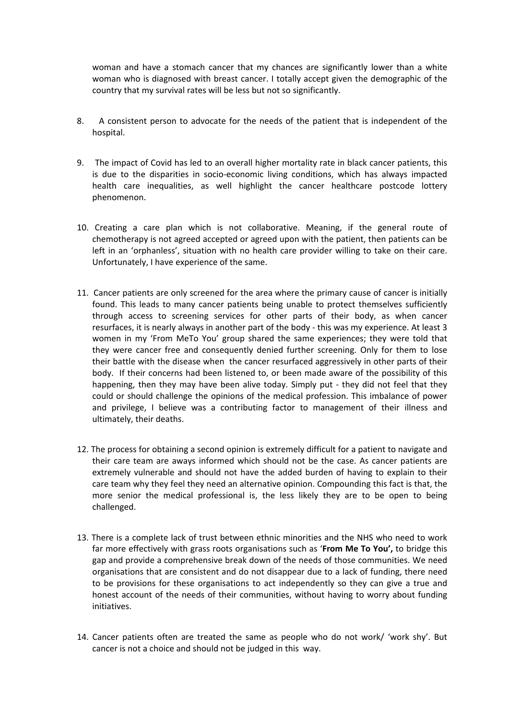woman and have a stomach cancer that my chances are significantly lower than a white woman who is diagnosed with breast cancer. I totally accept given the demographic of the country that my survival rates will be less but not so significantly.

- 8. A consistent person to advocate for the needs of the patient that is independent of the hospital.
- 9. The impact of Covid has led to an overall higher mortality rate in black cancer patients, this is due to the disparities in socio-economic living conditions, which has always impacted health care inequalities, as well highlight the cancer healthcare postcode lottery phenomenon.
- 10. Creating a care plan which is not collaborative. Meaning, if the general route of chemotherapy is not agreed accepted or agreed upon with the patient, then patients can be left in an 'orphanless', situation with no health care provider willing to take on their care. Unfortunately, I have experience of the same.
- 11. Cancer patients are only screened for the area where the primary cause of cancer is initially found. This leads to many cancer patients being unable to protect themselves sufficiently through access to screening services for other parts of their body, as when cancer resurfaces, it is nearly always in another part of the body - this was my experience. At least 3 women in my 'From MeTo You' group shared the same experiences; they were told that they were cancer free and consequently denied further screening. Only for them to lose their battle with the disease when the cancer resurfaced aggressively in other parts of their body. If their concerns had been listened to, or been made aware of the possibility of this happening, then they may have been alive today. Simply put - they did not feel that they could or should challenge the opinions of the medical profession. This imbalance of power and privilege, I believe was a contributing factor to management of their illness and ultimately, their deaths.
- 12. The process for obtaining a second opinion is extremely difficult for a patient to navigate and their care team are aways informed which should not be the case. As cancer patients are extremely vulnerable and should not have the added burden of having to explain to their care team why they feel they need an alternative opinion. Compounding this fact is that, the more senior the medical professional is, the less likely they are to be open to being challenged.
- 13. There is a complete lack of trust between ethnic minorities and the NHS who need to work far more effectively with grass roots organisations such as '**From Me To You',** to bridge this gap and provide a comprehensive break down of the needs of those communities. We need organisations that are consistent and do not disappear due to a lack of funding, there need to be provisions for these organisations to act independently so they can give a true and honest account of the needs of their communities, without having to worry about funding initiatives.
- 14. Cancer patients often are treated the same as people who do not work/ 'work shy'. But cancer is not a choice and should not be judged in this way.